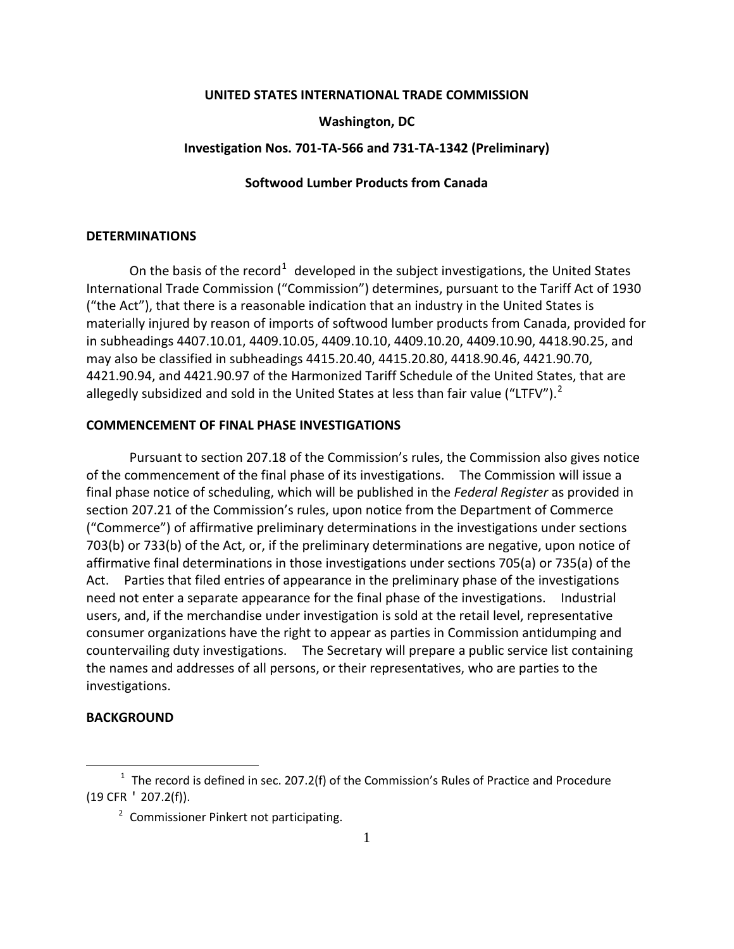## **UNITED STATES INTERNATIONAL TRADE COMMISSION**

# **Washington, DC**

## **Investigation Nos. 701-TA-566 and 731-TA-1342 (Preliminary)**

## **Softwood Lumber Products from Canada**

# **DETERMINATIONS**

On the basis of the record<sup>[1](#page-0-0)</sup> developed in the subject investigations, the United States International Trade Commission ("Commission") determines, pursuant to the Tariff Act of 1930 ("the Act"), that there is a reasonable indication that an industry in the United States is materially injured by reason of imports of softwood lumber products from Canada, provided for in subheadings 4407.10.01, 4409.10.05, 4409.10.10, 4409.10.20, 4409.10.90, 4418.90.25, and may also be classified in subheadings 4415.20.40, 4415.20.80, 4418.90.46, 4421.90.70, 4421.90.94, and 4421.90.97 of the Harmonized Tariff Schedule of the United States, that are allegedly subsidized and sold in the United States at less than fair value ("LTFV").<sup>[2](#page-0-1)</sup>

## **COMMENCEMENT OF FINAL PHASE INVESTIGATIONS**

Pursuant to section 207.18 of the Commission's rules, the Commission also gives notice of the commencement of the final phase of its investigations. The Commission will issue a final phase notice of scheduling, which will be published in the *Federal Register* as provided in section 207.21 of the Commission's rules, upon notice from the Department of Commerce ("Commerce") of affirmative preliminary determinations in the investigations under sections 703(b) or 733(b) of the Act, or, if the preliminary determinations are negative, upon notice of affirmative final determinations in those investigations under sections 705(a) or 735(a) of the Act. Parties that filed entries of appearance in the preliminary phase of the investigations need not enter a separate appearance for the final phase of the investigations. Industrial users, and, if the merchandise under investigation is sold at the retail level, representative consumer organizations have the right to appear as parties in Commission antidumping and countervailing duty investigations. The Secretary will prepare a public service list containing the names and addresses of all persons, or their representatives, who are parties to the investigations.

# **BACKGROUND**

 $\overline{a}$ 

<span id="page-0-1"></span><span id="page-0-0"></span> $1$  The record is defined in sec. 207.2(f) of the Commission's Rules of Practice and Procedure (19 CFR ' 207.2(f)).

<sup>&</sup>lt;sup>2</sup> Commissioner Pinkert not participating.